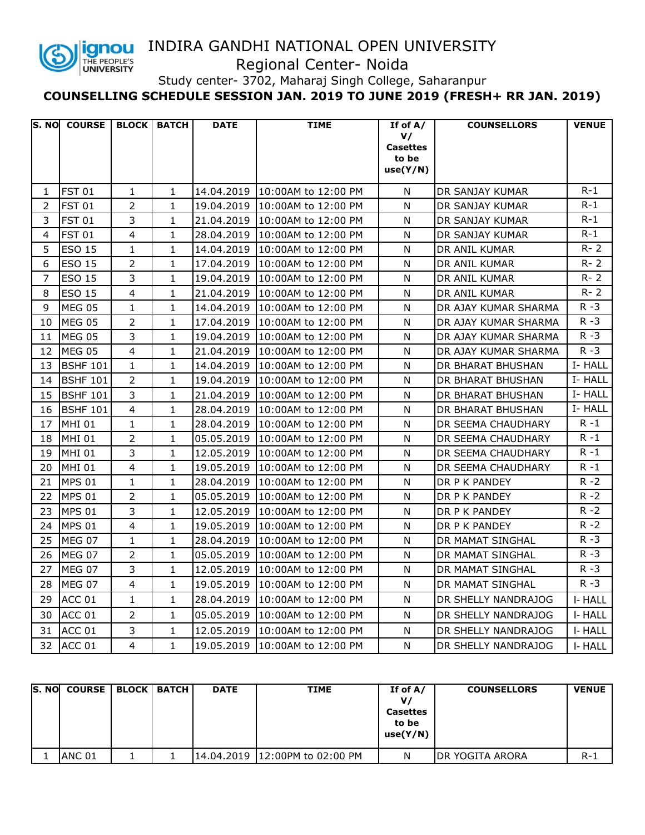

## INDIRA GANDHI NATIONAL OPEN UNIVERSITY

Regional Center- Noida

Study center- 3702, Maharaj Singh College, Saharanpur

**COUNSELLING SCHEDULE SESSION JAN. 2019 TO JUNE 2019 (FRESH+ RR JAN. 2019)**

|                | S. NO COURSE BLOCK BATCH |                |              | <b>DATE</b> | <b>TIME</b>                    | If of $A/$                                 | <b>COUNSELLORS</b>   | <b>VENUE</b> |
|----------------|--------------------------|----------------|--------------|-------------|--------------------------------|--------------------------------------------|----------------------|--------------|
|                |                          |                |              |             |                                | V/<br><b>Casettes</b><br>to be<br>use(Y/N) |                      |              |
| 1              | <b>FST 01</b>            | $\mathbf{1}$   | $\mathbf{1}$ |             | 14.04.2019 10:00AM to 12:00 PM | N                                          | DR SANJAY KUMAR      | $R-1$        |
| 2              | <b>FST 01</b>            | $\overline{2}$ | $\mathbf{1}$ |             | 19.04.2019 10:00AM to 12:00 PM | N                                          | DR SANJAY KUMAR      | $R-1$        |
| 3              | <b>FST 01</b>            | $\overline{3}$ | $\mathbf{1}$ |             | 21.04.2019 10:00AM to 12:00 PM | N                                          | DR SANJAY KUMAR      | $R-1$        |
| 4              | <b>FST 01</b>            | 4              | $\mathbf{1}$ |             | 28.04.2019 10:00AM to 12:00 PM | N                                          | DR SANJAY KUMAR      | $R-1$        |
| 5              | <b>ESO 15</b>            | $\mathbf{1}$   | $\mathbf{1}$ |             | 14.04.2019 10:00AM to 12:00 PM | N                                          | DR ANIL KUMAR        | $R - 2$      |
| 6              | <b>ESO 15</b>            | $\overline{2}$ | $\mathbf{1}$ | 17.04.2019  | 10:00AM to 12:00 PM            | Ν                                          | DR ANIL KUMAR        | $R - 2$      |
| $\overline{7}$ | <b>ESO 15</b>            | $\overline{3}$ | $\mathbf{1}$ |             | 19.04.2019 10:00AM to 12:00 PM | N                                          | DR ANIL KUMAR        | $R - 2$      |
| 8              | <b>ESO 15</b>            | $\overline{4}$ | $\mathbf{1}$ |             | 21.04.2019 10:00AM to 12:00 PM | N                                          | DR ANIL KUMAR        | $R - 2$      |
| 9              | <b>MEG 05</b>            | $\mathbf{1}$   | $\mathbf{1}$ |             | 14.04.2019 10:00AM to 12:00 PM | N                                          | DR AJAY KUMAR SHARMA | $R - 3$      |
| 10             | MEG 05                   | $\overline{2}$ | $\mathbf{1}$ |             | 17.04.2019 10:00AM to 12:00 PM | N                                          | DR AJAY KUMAR SHARMA | $R - 3$      |
| 11             | MEG 05                   | 3              | $\mathbf{1}$ | 19.04.2019  | 10:00AM to 12:00 PM            | Ν                                          | DR AJAY KUMAR SHARMA | $R - 3$      |
| 12             | <b>MEG 05</b>            | $\overline{4}$ | $\mathbf{1}$ | 21.04.2019  | 10:00AM to 12:00 PM            | N                                          | DR AJAY KUMAR SHARMA | $R - 3$      |
| 13             | <b>BSHF 101</b>          | $\mathbf{1}$   | $\mathbf{1}$ | 14.04.2019  | 10:00AM to 12:00 PM            | N                                          | DR BHARAT BHUSHAN    | I- HALL      |
| 14             | <b>BSHF 101</b>          | $\overline{2}$ | $\mathbf{1}$ | 19.04.2019  | 10:00AM to 12:00 PM            | Ν                                          | DR BHARAT BHUSHAN    | I-HALL       |
| 15             | <b>BSHF 101</b>          | $\overline{3}$ | $\mathbf{1}$ | 21.04.2019  | 10:00AM to 12:00 PM            | N                                          | DR BHARAT BHUSHAN    | I-HALL       |
| 16             | <b>BSHF 101</b>          | $\overline{4}$ | $\mathbf{1}$ | 28.04.2019  | 10:00AM to 12:00 PM            | N                                          | DR BHARAT BHUSHAN    | I- HALL      |
| 17             | <b>MHI 01</b>            | $\mathbf{1}$   | $\mathbf{1}$ | 28.04.2019  | 10:00AM to 12:00 PM            | N                                          | DR SEEMA CHAUDHARY   | $R - 1$      |
| 18             | <b>MHI 01</b>            | $\overline{2}$ | $\mathbf{1}$ |             | 05.05.2019 10:00AM to 12:00 PM | N                                          | DR SEEMA CHAUDHARY   | $R - 1$      |
| 19             | <b>MHI 01</b>            | 3              | $\mathbf{1}$ | 12.05.2019  | 10:00AM to 12:00 PM            | N                                          | DR SEEMA CHAUDHARY   | $R - 1$      |
| 20             | <b>MHI 01</b>            | $\overline{4}$ | $\mathbf{1}$ | 19.05.2019  | 10:00AM to 12:00 PM            | N                                          | DR SEEMA CHAUDHARY   | $R - 1$      |
| 21             | <b>MPS 01</b>            | $\mathbf{1}$   | $\mathbf{1}$ | 28.04.2019  | 10:00AM to 12:00 PM            | N                                          | DR P K PANDEY        | $R - 2$      |
| 22             | <b>MPS 01</b>            | $\overline{2}$ | $\mathbf{1}$ |             | 05.05.2019 10:00AM to 12:00 PM | N                                          | DR P K PANDEY        | $R - 2$      |
| 23             | <b>MPS 01</b>            | 3              | $\mathbf{1}$ | 12.05.2019  | 10:00AM to 12:00 PM            | N                                          | DR P K PANDEY        | $R - 2$      |
| 24             | <b>MPS 01</b>            | 4              | $\mathbf{1}$ | 19.05.2019  | 10:00AM to 12:00 PM            | N                                          | DR P K PANDEY        | $R - 2$      |
| 25             | MEG 07                   | 1              | $\mathbf{1}$ | 28.04.2019  | 10:00AM to 12:00 PM            | N                                          | DR MAMAT SINGHAL     | R -3         |
| 26             | MEG 07                   | $\overline{2}$ | $\mathbf{1}$ | 05.05.2019  | 10:00AM to 12:00 PM            | N                                          | DR MAMAT SINGHAL     | $R - 3$      |
| 27             | MEG 07                   | 3              | 1            |             | 12.05.2019 10:00AM to 12:00 PM | N                                          | DR MAMAT SINGHAL     | $R - 3$      |
| 28             | MEG 07                   | $\overline{4}$ | $\mathbf{1}$ | 19.05.2019  | 10:00AM to 12:00 PM            | N                                          | DR MAMAT SINGHAL     | R -3         |
| 29             | ACC 01                   | 1              | $\mathbf{1}$ |             | 28.04.2019 10:00AM to 12:00 PM | N                                          | DR SHELLY NANDRAJOG  | I-HALL       |
| 30             | ACC 01                   | $\overline{2}$ | $\mathbf{1}$ |             | 05.05.2019 10:00AM to 12:00 PM | N                                          | DR SHELLY NANDRAJOG  | I-HALL       |
| 31             | ACC 01                   | 3              | $\mathbf{1}$ | 12.05.2019  | 10:00AM to 12:00 PM            | N                                          | DR SHELLY NANDRAJOG  | I-HALL       |
| 32             | ACC 01                   | 4              | $\mathbf{1}$ |             | 19.05.2019 10:00AM to 12:00 PM | N                                          | DR SHELLY NANDRAJOG  | I-HALL       |

| ls. Nol | <b>COURSE</b> | <b>BLOCK   BATCH</b> | <b>DATE</b> | <b>TIME</b>                     | If of $A/$<br>v/<br><b>Casettes</b><br>to be<br>use(Y/N) | <b>COUNSELLORS</b> | <b>VENUE</b> |
|---------|---------------|----------------------|-------------|---------------------------------|----------------------------------------------------------|--------------------|--------------|
|         | ANC 01        |                      |             | 14.04.2019 112:00PM to 02:00 PM | N                                                        | IDR YOGITA ARORA   | $R-1$        |